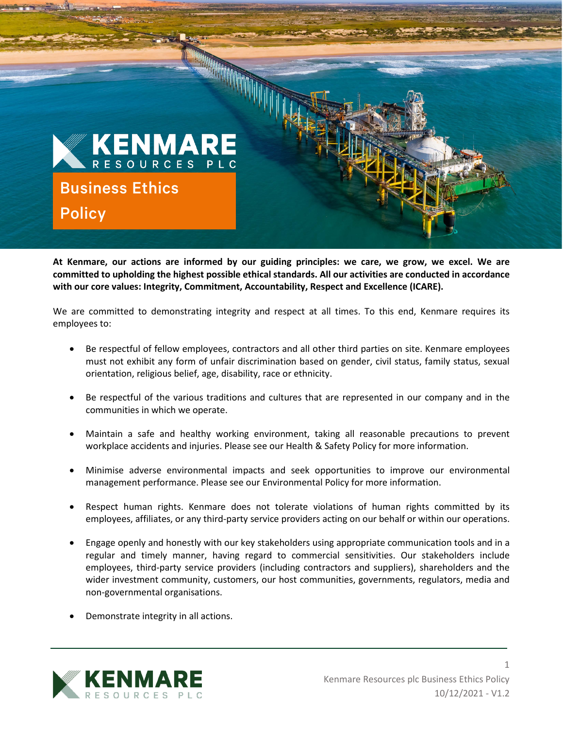

**At Kenmare, our actions are informed by our guiding principles: we care, we grow, we excel. We are committed to upholding the highest possible ethical standards. All our activities are conducted in accordance with our core values: Integrity, Commitment, Accountability, Respect and Excellence (ICARE).**

We are committed to demonstrating integrity and respect at all times. To this end, Kenmare requires its employees to:

- Be respectful of fellow employees, contractors and all other third parties on site. Kenmare employees must not exhibit any form of unfair discrimination based on gender, civil status, family status, sexual orientation, religious belief, age, disability, race or ethnicity.
- Be respectful of the various traditions and cultures that are represented in our company and in the communities in which we operate.
- Maintain a safe and healthy working environment, taking all reasonable precautions to prevent workplace accidents and injuries. Please see our Health & Safety Policy for more information.
- Minimise adverse environmental impacts and seek opportunities to improve our environmental management performance. Please see our Environmental Policy for more information.
- Respect human rights. Kenmare does not tolerate violations of human rights committed by its employees, affiliates, or any third-party service providers acting on our behalf or within our operations.
- Engage openly and honestly with our key stakeholders using appropriate communication tools and in a regular and timely manner, having regard to commercial sensitivities. Our stakeholders include employees, third-party service providers (including contractors and suppliers), shareholders and the wider investment community, customers, our host communities, governments, regulators, media and non-governmental organisations.
- Demonstrate integrity in all actions.



1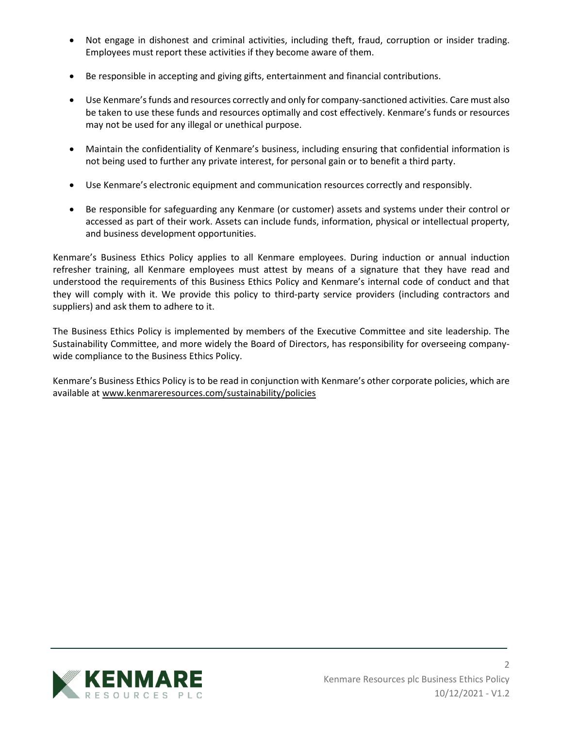- Not engage in dishonest and criminal activities, including theft, fraud, corruption or insider trading. Employees must report these activities if they become aware of them.
- Be responsible in accepting and giving gifts, entertainment and financial contributions.
- Use Kenmare's funds and resources correctly and only for company-sanctioned activities. Care must also be taken to use these funds and resources optimally and cost effectively. Kenmare's funds or resources may not be used for any illegal or unethical purpose.
- Maintain the confidentiality of Kenmare's business, including ensuring that confidential information is not being used to further any private interest, for personal gain or to benefit a third party.
- Use Kenmare's electronic equipment and communication resources correctly and responsibly.
- Be responsible for safeguarding any Kenmare (or customer) assets and systems under their control or accessed as part of their work. Assets can include funds, information, physical or intellectual property, and business development opportunities.

Kenmare's Business Ethics Policy applies to all Kenmare employees. During induction or annual induction refresher training, all Kenmare employees must attest by means of a signature that they have read and understood the requirements of this Business Ethics Policy and Kenmare's internal code of conduct and that they will comply with it. We provide this policy to third-party service providers (including contractors and suppliers) and ask them to adhere to it.

The Business Ethics Policy is implemented by members of the Executive Committee and site leadership. The Sustainability Committee, and more widely the Board of Directors, has responsibility for overseeing companywide compliance to the Business Ethics Policy.

Kenmare's Business Ethics Policy is to be read in conjunction with Kenmare's other corporate policies, which are available at [www.kenmareresources.com/sustainability/policies](http://www.kenmareresources.com/sustainability/policies)



2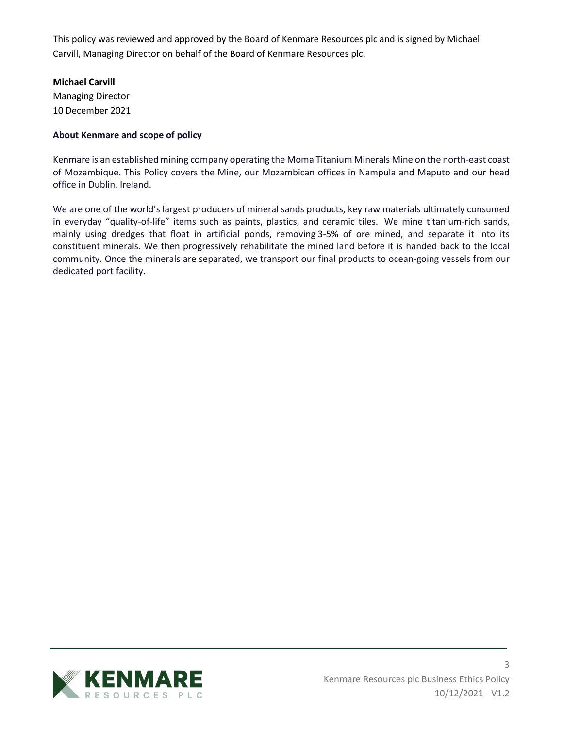This policy was reviewed and approved by the Board of Kenmare Resources plc and is signed by Michael Carvill, Managing Director on behalf of the Board of Kenmare Resources plc.

## **Michael Carvill**

Managing Director 10 December 2021

## **About Kenmare and scope of policy**

Kenmare is an established mining company operating the Moma Titanium Minerals Mine on the north-east coast of Mozambique. This Policy covers the Mine, our Mozambican offices in Nampula and Maputo and our head office in Dublin, Ireland.

We are one of the world's largest producers of mineral sands products, key raw materials ultimately consumed in everyday "quality-of-life" items such as paints, plastics, and ceramic tiles. We mine titanium-rich sands, mainly using dredges that float in artificial ponds, removing 3-5% of ore mined, and separate it into its constituent minerals. We then progressively rehabilitate the mined land before it is handed back to the local community. Once the minerals are separated, we transport our final products to ocean-going vessels from our dedicated port facility.